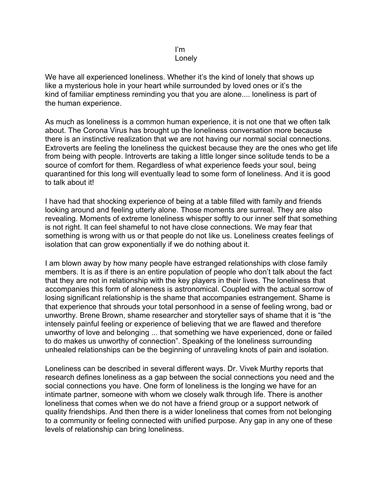## I'm Lonely

We have all experienced loneliness. Whether it's the kind of lonely that shows up like a mysterious hole in your heart while surrounded by loved ones or it's the kind of familiar emptiness reminding you that you are alone.... loneliness is part of the human experience.

As much as loneliness is a common human experience, it is not one that we often talk about. The Corona Virus has brought up the loneliness conversation more because there is an instinctive realization that we are not having our normal social connections. Extroverts are feeling the loneliness the quickest because they are the ones who get life from being with people. Introverts are taking a little longer since solitude tends to be a source of comfort for them. Regardless of what experience feeds your soul, being quarantined for this long will eventually lead to some form of loneliness. And it is good to talk about it!

I have had that shocking experience of being at a table filled with family and friends looking around and feeling utterly alone. Those moments are surreal. They are also revealing. Moments of extreme loneliness whisper softly to our inner self that something is not right. It can feel shameful to not have close connections. We may fear that something is wrong with us or that people do not like us. Loneliness creates feelings of isolation that can grow exponentially if we do nothing about it.

I am blown away by how many people have estranged relationships with close family members. It is as if there is an entire population of people who don't talk about the fact that they are not in relationship with the key players in their lives. The loneliness that accompanies this form of aloneness is astronomical. Coupled with the actual sorrow of losing significant relationship is the shame that accompanies estrangement. Shame is that experience that shrouds your total personhood in a sense of feeling wrong, bad or unworthy. Brene Brown, shame researcher and storyteller says of shame that it is "the intensely painful feeling or experience of believing that we are flawed and therefore unworthy of love and belonging ... that something we have experienced, done or failed to do makes us unworthy of connection". Speaking of the loneliness surrounding unhealed relationships can be the beginning of unraveling knots of pain and isolation.

Loneliness can be described in several different ways. Dr. Vivek Murthy reports that research defines loneliness as a gap between the social connections you need and the social connections you have. One form of loneliness is the longing we have for an intimate partner, someone with whom we closely walk through life. There is another loneliness that comes when we do not have a friend group or a support network of quality friendships. And then there is a wider loneliness that comes from not belonging to a community or feeling connected with unified purpose. Any gap in any one of these levels of relationship can bring loneliness.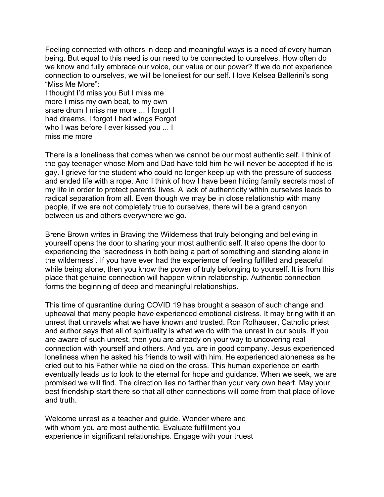Feeling connected with others in deep and meaningful ways is a need of every human being. But equal to this need is our need to be connected to ourselves. How often do we know and fully embrace our voice, our value or our power? If we do not experience connection to ourselves, we will be loneliest for our self. I love Kelsea Ballerini's song "Miss Me More":

I thought I'd miss you But I miss me more I miss my own beat, to my own snare drum I miss me more ... I forgot I had dreams, I forgot I had wings Forgot who I was before I ever kissed you ... I miss me more

There is a loneliness that comes when we cannot be our most authentic self. I think of the gay teenager whose Mom and Dad have told him he will never be accepted if he is gay. I grieve for the student who could no longer keep up with the pressure of success and ended life with a rope. And I think of how I have been hiding family secrets most of my life in order to protect parents' lives. A lack of authenticity within ourselves leads to radical separation from all. Even though we may be in close relationship with many people, if we are not completely true to ourselves, there will be a grand canyon between us and others everywhere we go.

Brene Brown writes in Braving the Wilderness that truly belonging and believing in yourself opens the door to sharing your most authentic self. It also opens the door to experiencing the "sacredness in both being a part of something and standing alone in the wilderness". If you have ever had the experience of feeling fulfilled and peaceful while being alone, then you know the power of truly belonging to yourself. It is from this place that genuine connection will happen within relationship. Authentic connection forms the beginning of deep and meaningful relationships.

This time of quarantine during COVID 19 has brought a season of such change and upheaval that many people have experienced emotional distress. It may bring with it an unrest that unravels what we have known and trusted. Ron Rolhauser, Catholic priest and author says that all of spirituality is what we do with the unrest in our souls. If you are aware of such unrest, then you are already on your way to uncovering real connection with yourself and others. And you are in good company. Jesus experienced loneliness when he asked his friends to wait with him. He experienced aloneness as he cried out to his Father while he died on the cross. This human experience on earth eventually leads us to look to the eternal for hope and guidance. When we seek, we are promised we will find. The direction lies no farther than your very own heart. May your best friendship start there so that all other connections will come from that place of love and truth.

Welcome unrest as a teacher and guide. Wonder where and with whom you are most authentic. Evaluate fulfillment you experience in significant relationships. Engage with your truest